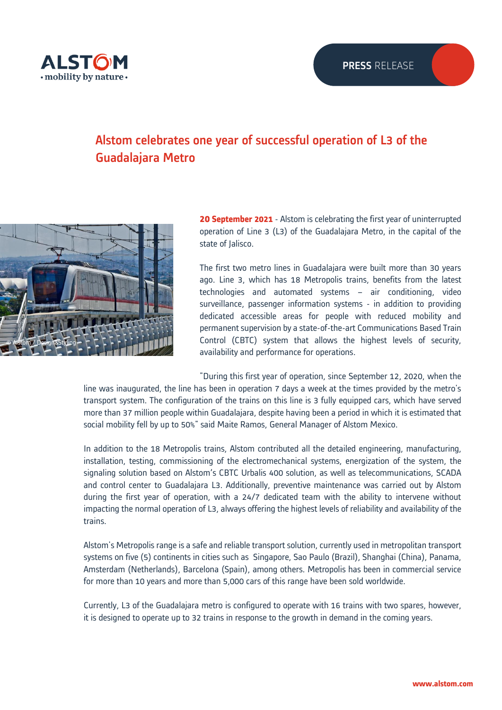

# Alstom celebrates one year of successful operation of L3 of the Guadalajara Metro



**20 September 2021** - Alstom is celebrating the first year of uninterrupted operation of Line 3 (L3) of the Guadalajara Metro, in the capital of the state of *lalisco*.

The first two metro lines in Guadalajara were built more than 30 years ago. Line 3, which has 18 Metropolis trains, benefits from the latest technologies and automated systems – air conditioning, video surveillance, passenger information systems - in addition to providing dedicated accessible areas for people with reduced mobility and permanent supervision by a state-of-the-art Communications Based Train Control (CBTC) system that allows the highest levels of security, availability and performance for operations.

"During this first year of operation, since September 12, 2020, when the line was inaugurated, the line has been in operation 7 days a week at the times provided by the metro's transport system. The configuration of the trains on this line is 3 fully equipped cars, which have served more than 37 million people within Guadalajara, despite having been a period in which it is estimated that social mobility fell by up to 50%" said Maite Ramos, General Manager of Alstom Mexico.

In addition to the 18 Metropolis trains, Alstom contributed all the detailed engineering, manufacturing, installation, testing, commissioning of the electromechanical systems, energization of the system, the signaling solution based on Alstom's CBTC Urbalis 400 solution, as well as telecommunications, SCADA and control center to Guadalajara L3. Additionally, preventive maintenance was carried out by Alstom during the first year of operation, with a 24/7 dedicated team with the ability to intervene without impacting the normal operation of L3, always offering the highest levels of reliability and availability of the trains.

Alstom's Metropolis range is a safe and reliable transport solution, currently used in metropolitan transport systems on five (5) continents in cities such as Singapore, Sao Paulo (Brazil), Shanghai (China), Panama, Amsterdam (Netherlands), Barcelona (Spain), among others. Metropolis has been in commercial service for more than 10 years and more than 5,000 cars of this range have been sold worldwide.

Currently, L3 of the Guadalajara metro is configured to operate with 16 trains with two spares, however, it is designed to operate up to 32 trains in response to the growth in demand in the coming years.